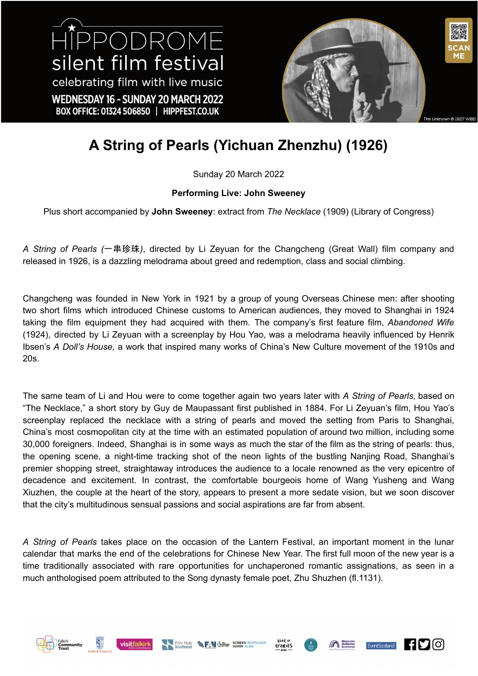HIPPODROME silent film festival celebrating film with live music WEDNESDAY 16 - SUNDAY 20 MARCH 2022 BOX OFFICE: 01324 506850 | HIPPFEST.CO.UK



## **A String of Pearls (Yichuan Zhenzhu) (1926)**

Sunday 20 March 2022

## **Performing Live: John Sweeney**

Plus short accompanied by **John Sweeney**: extract from *The Necklace* (1909) (Library of Congress)

*A String of Pearls (*一串珍珠*)*, directed by Li Zeyuan for the Changcheng (Great Wall) film company and released in 1926, is a dazzling melodrama about greed and redemption, class and social climbing.

Changcheng was founded in New York in 1921 by a group of young Overseas Chinese men: after shooting two short films which introduced Chinese customs to American audiences, they moved to Shanghai in 1924 taking the film equipment they had acquired with them. The company's first feature film, *Abandoned Wife* (1924), directed by Li Zeyuan with a screenplay by Hou Yao, was a melodrama heavily influenced by Henrik Ibsen's *A Doll's House,* a work that inspired many works of China's New Culture movement of the 1910s and 20s.

The same team of Li and Hou were to come together again two years later with *A String of Pearls,* based on "The Necklace," a short story by Guy de Maupassant first published in 1884. For Li Zeyuan's film, Hou Yao's screenplay replaced the necklace with a string of pearls and moved the setting from Paris to Shanghai, China's most cosmopolitan city at the time with an estimated population of around two million, including some 30,000 foreigners. Indeed, Shanghai is in some ways as much the star of the film as the string of pearls: thus, the opening scene, a night-time tracking shot of the neon lights of the bustling Nanjing Road, Shanghai's premier shopping street, straightaway introduces the audience to a locale renowned as the very epicentre of decadence and excitement. In contrast, the comfortable bourgeois home of Wang Yusheng and Wang Xiuzhen, the couple at the heart of the story, appears to present a more sedate vision, but we soon discover that the city's multitudinous sensual passions and social aspirations are far from absent.

*A String of Pearls* takes place on the occasion of the Lantern Festival, an important moment in the lunar calendar that marks the end of the celebrations for Chinese New Year. The first full moon of the new year is a time traditionally associated with rare opportunities for unchaperoned romantic assignations, as seen in a much anthologised poem attributed to the Song dynasty female poet, Zhu Shuzhen (fl.1131).











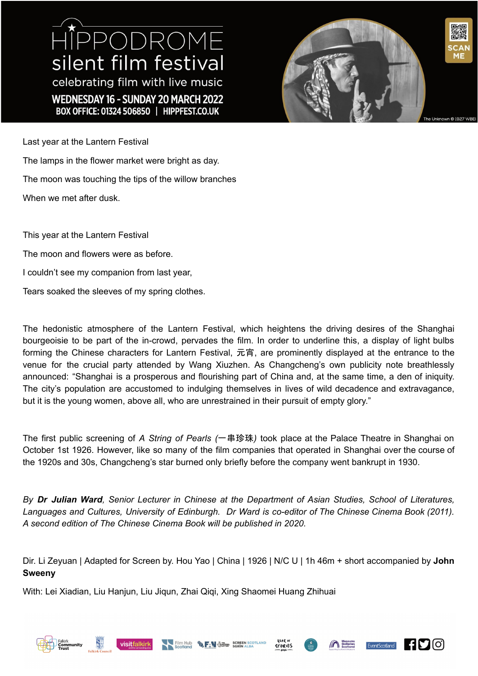## HIPPODROME silent film festival celebrating film with live music WEDNESDAY 16 - SUNDAY 20 MARCH 2022 BOX OFFICE: 01324 506850 | HIPPFEST.CO.UK



Last year at the Lantern Festival

The lamps in the flower market were bright as day. The moon was touching the tips of the willow branches

When we met after dusk.

This year at the Lantern Festival

The moon and flowers were as before.

I couldn't see my companion from last year,

Tears soaked the sleeves of my spring clothes.

The hedonistic atmosphere of the Lantern Festival, which heightens the driving desires of the Shanghai bourgeoisie to be part of the in-crowd, pervades the film. In order to underline this, a display of light bulbs forming the Chinese characters for Lantern Festival, 元宵, are prominently displayed at the entrance to the venue for the crucial party attended by Wang Xiuzhen. As Changcheng's own publicity note breathlessly announced: "Shanghai is a prosperous and flourishing part of China and, at the same time, a den of iniquity. The city's population are accustomed to indulging themselves in lives of wild decadence and extravagance, but it is the young women, above all, who are unrestrained in their pursuit of empty glory."

The first public screening of *A String of Pearls (*一串珍珠*)* took place at the Palace Theatre in Shanghai on October 1st 1926. However, like so many of the film companies that operated in Shanghai over the course of the 1920s and 30s, Changcheng's star burned only briefly before the company went bankrupt in 1930.

By Dr Julian Ward, Senior Lecturer in Chinese at the Department of Asian Studies, School of Literatures, *Languages and Cultures, University of Edinburgh. Dr Ward is co-editor of The Chinese Cinema Book (2011). A second edition of The Chinese Cinema Book will be published in 2020.*

Dir. Li Zeyuan | Adapted for Screen by. Hou Yao | China | 1926 | N/C U | 1h 46m + short accompanied by **John Sweeny**

With: Lei Xiadian, Liu Hanjun, Liu Jiqun, Zhai Qiqi, Xing Shaomei Huang Zhihuai